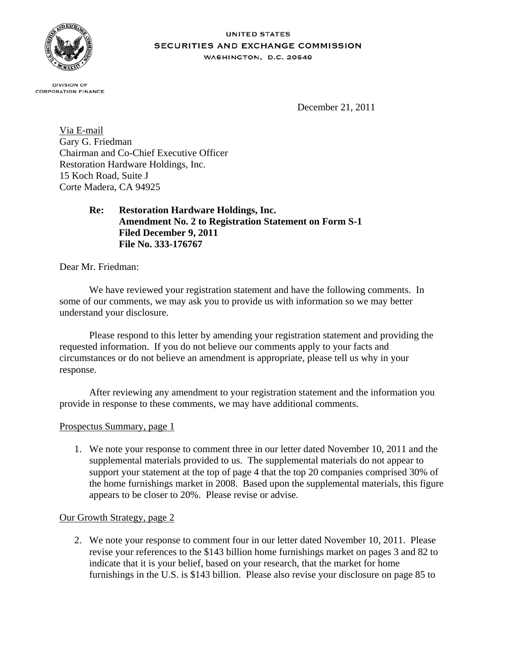

## **UNITED STATES** SECURITIES AND EXCHANGE COMMISSION WASHINGTON, D.C. 20549

**DIVISION OF CORPORATION FINANCE** 

December 21, 2011

Via E-mail Gary G. Friedman Chairman and Co-Chief Executive Officer Restoration Hardware Holdings, Inc. 15 Koch Road, Suite J Corte Madera, CA 94925

> **Re: Restoration Hardware Holdings, Inc. Amendment No. 2 to Registration Statement on Form S-1 Filed December 9, 2011 File No. 333-176767**

Dear Mr. Friedman:

We have reviewed your registration statement and have the following comments. In some of our comments, we may ask you to provide us with information so we may better understand your disclosure.

Please respond to this letter by amending your registration statement and providing the requested information. If you do not believe our comments apply to your facts and circumstances or do not believe an amendment is appropriate, please tell us why in your response.

After reviewing any amendment to your registration statement and the information you provide in response to these comments, we may have additional comments.

## Prospectus Summary, page 1

1. We note your response to comment three in our letter dated November 10, 2011 and the supplemental materials provided to us. The supplemental materials do not appear to support your statement at the top of page 4 that the top 20 companies comprised 30% of the home furnishings market in 2008. Based upon the supplemental materials, this figure appears to be closer to 20%. Please revise or advise.

## Our Growth Strategy, page 2

2. We note your response to comment four in our letter dated November 10, 2011. Please revise your references to the \$143 billion home furnishings market on pages 3 and 82 to indicate that it is your belief, based on your research, that the market for home furnishings in the U.S. is \$143 billion. Please also revise your disclosure on page 85 to